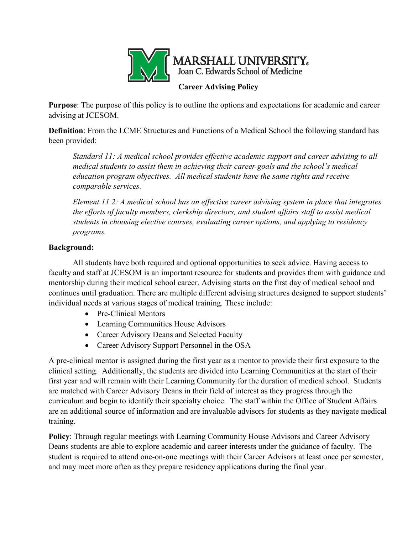

**Purpose**: The purpose of this policy is to outline the options and expectations for academic and career advising at JCESOM.

**Definition**: From the LCME Structures and Functions of a Medical School the following standard has been provided:

*Standard 11: A medical school provides effective academic support and career advising to all medical students to assist them in achieving their career goals and the school's medical education program objectives. All medical students have the same rights and receive comparable services.*

*Element 11.2: A medical school has an effective career advising system in place that integrates the efforts of faculty members, clerkship directors, and student affairs staff to assist medical students in choosing elective courses, evaluating career options, and applying to residency programs.*

## **Background:**

All students have both required and optional opportunities to seek advice. Having access to faculty and staff at JCESOM is an important resource for students and provides them with guidance and mentorship during their medical school career. Advising starts on the first day of medical school and continues until graduation. There are multiple different advising structures designed to support students' individual needs at various stages of medical training. These include:

- Pre-Clinical Mentors
- Learning Communities House Advisors
- Career Advisory Deans and Selected Faculty
- Career Advisory Support Personnel in the OSA

A pre-clinical mentor is assigned during the first year as a mentor to provide their first exposure to the clinical setting. Additionally, the students are divided into Learning Communities at the start of their first year and will remain with their Learning Community for the duration of medical school. Students are matched with Career Advisory Deans in their field of interest as they progress through the curriculum and begin to identify their specialty choice. The staff within the Office of Student Affairs are an additional source of information and are invaluable advisors for students as they navigate medical training.

**Policy**: Through regular meetings with Learning Community House Advisors and Career Advisory Deans students are able to explore academic and career interests under the guidance of faculty. The student is required to attend one-on-one meetings with their Career Advisors at least once per semester, and may meet more often as they prepare residency applications during the final year.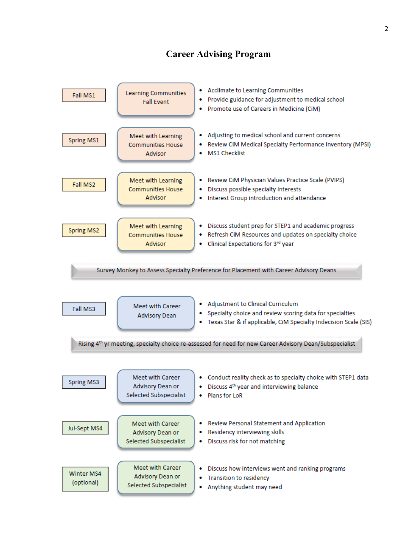## **Career Advising Program**